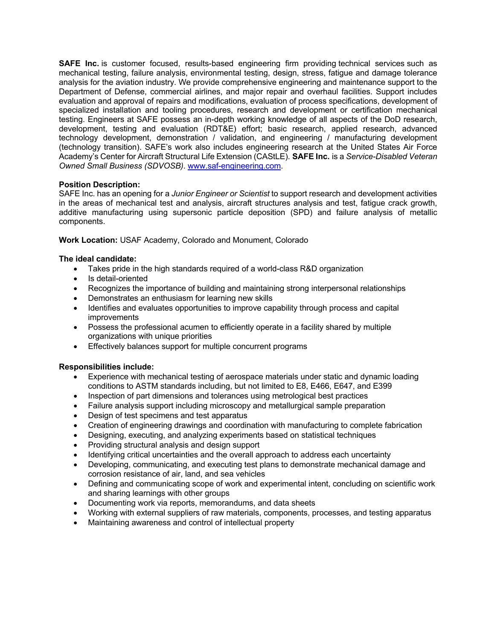**SAFE Inc.** is customer focused, results-based engineering firm providing technical services such as mechanical testing, failure analysis, environmental testing, design, stress, fatigue and damage tolerance analysis for the aviation industry. We provide comprehensive engineering and maintenance support to the Department of Defense, commercial airlines, and major repair and overhaul facilities. Support includes evaluation and approval of repairs and modifications, evaluation of process specifications, development of specialized installation and tooling procedures, research and development or certification mechanical testing. Engineers at SAFE possess an in-depth working knowledge of all aspects of the DoD research, development, testing and evaluation (RDT&E) effort; basic research, applied research, advanced technology development, demonstration / validation, and engineering / manufacturing development (technology transition). SAFE's work also includes engineering research at the United States Air Force Academy's Center for Aircraft Structural Life Extension (CAStLE). **SAFE Inc.** is a *Service-Disabled Veteran Owned Small Business (SDVOSB)*. www.saf-engineering.com.

# **Position Description:**

SAFE Inc. has an opening for a *Junior Engineer or Scientist* to support research and development activities in the areas of mechanical test and analysis, aircraft structures analysis and test, fatigue crack growth, additive manufacturing using supersonic particle deposition (SPD) and failure analysis of metallic components.

**Work Location:** USAF Academy, Colorado and Monument, Colorado

# **The ideal candidate:**

- Takes pride in the high standards required of a world-class R&D organization
- Is detail-oriented
- Recognizes the importance of building and maintaining strong interpersonal relationships
- Demonstrates an enthusiasm for learning new skills
- Identifies and evaluates opportunities to improve capability through process and capital improvements
- Possess the professional acumen to efficiently operate in a facility shared by multiple organizations with unique priorities
- Effectively balances support for multiple concurrent programs

# **Responsibilities include:**

- Experience with mechanical testing of aerospace materials under static and dynamic loading conditions to ASTM standards including, but not limited to E8, E466, E647, and E399
- Inspection of part dimensions and tolerances using metrological best practices
- Failure analysis support including microscopy and metallurgical sample preparation
- Design of test specimens and test apparatus
- Creation of engineering drawings and coordination with manufacturing to complete fabrication
- Designing, executing, and analyzing experiments based on statistical techniques
- Providing structural analysis and design support
- Identifying critical uncertainties and the overall approach to address each uncertainty
- Developing, communicating, and executing test plans to demonstrate mechanical damage and corrosion resistance of air, land, and sea vehicles
- Defining and communicating scope of work and experimental intent, concluding on scientific work and sharing learnings with other groups
- Documenting work via reports, memorandums, and data sheets
- Working with external suppliers of raw materials, components, processes, and testing apparatus
- Maintaining awareness and control of intellectual property